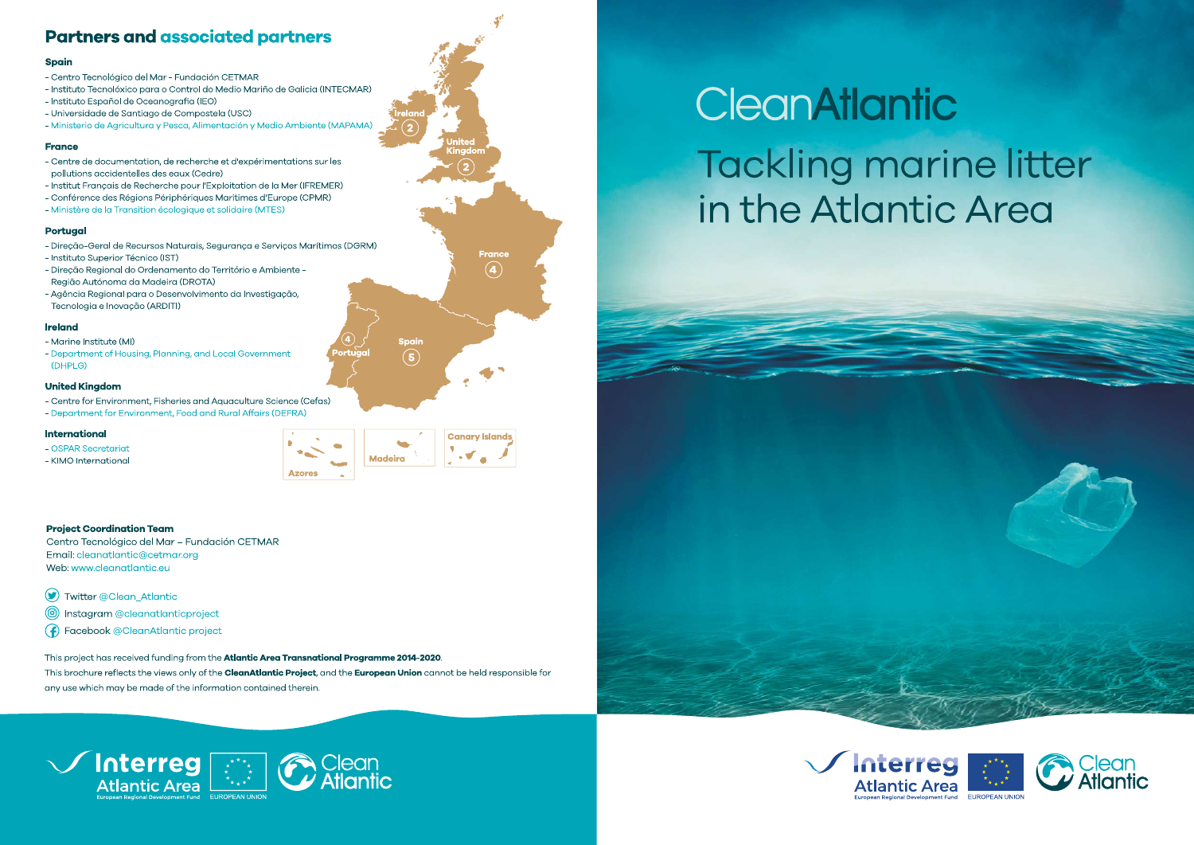# **Partners and associated partners**

#### **Spain**

- Centro Tecnológico del Mar Fundación CETMAR
- Instituto Tecnolóxico para o Control do Medio Mariño de Galicia (INTECMAR)
- Instituto Español de Oceanografia (IEO)
- Universidade de Santiago de Compostela (USC)
- Ministerio de Agricultura y Pesca, Alimentación y Medio Ambiente (MAPAMA)

### **France**

- Centre de documentation, de recherche et d'expérimentations sur les pollutions accidentelles des eaux (Cedre)
- Institut Français de Recherche pour l'Exploitation de la Mer (IFREMER)
- Conférence des Régions Périphériques Maritimes d'Europe (CPMR)
- Ministère de la Transition écologique et solidaire (MTES)

### **Portugal**

- Direção-Geral de Recursos Naturais, Segurança e Serviços Marítimos (DGRM)
- Instituto Superior Técnico (IST)
- Direção Regional do Ordenamento do Território e Ambiente -Região Autónoma da Madeira (DROTA)
- Agência Regional para o Desenvolvimento da Investigação, Tecnologia e Inovação (ARDITI)

### **Ireland**

- Marine Institute (MI)
- Department of Housing, Planning, and Local Government (DHPLG)

### **United Kingdom**

- Centre for Environment, Fisheries and Aquaculture Science (Cefas)
- Department for Environment, Food and Rural Affairs (DEFRA)

### **International**

- OSPAR Secretariat
- KIMO International



Spain

 $(5)$ 

**France** 

 $\bf(4)$ 

### **Project Coordination Team**

- Centro Tecnológico del Mar Fundación CETMAR Email: cleanatlantic@cetmar.org Web: www.cleanatlantic.eu
- Twitter @Clean\_Atlantic
- (c) Instagram @cleanatlanticproject
- (f) Facebook @CleanAtlantic project

This project has received funding from the Atlantic Area Transnational Programme 2014-2020. This brochure reflects the views only of the CleanAtlantic Project, and the European Union cannot be held responsible for any use which may be made of the information contained therein.



# CleanAtlantic **Tackling marine litter** in the Atlantic Area